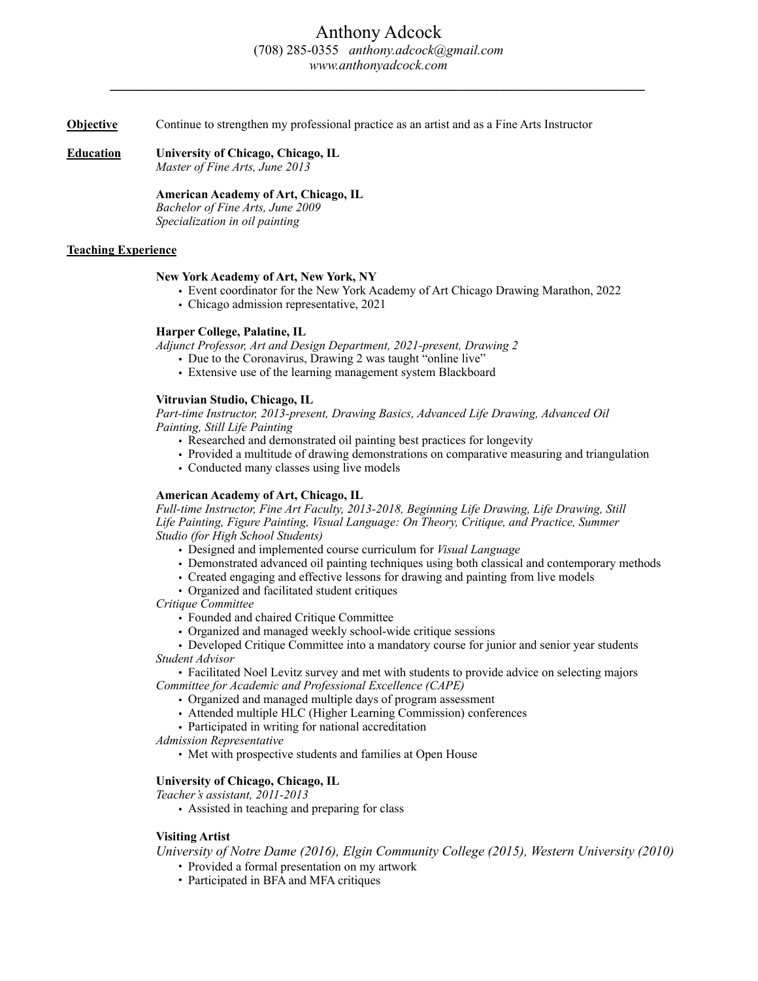*\_\_\_\_\_\_\_\_\_\_\_\_\_\_\_\_\_\_\_\_\_\_\_\_\_\_\_\_\_\_\_\_\_\_\_\_\_\_\_\_\_\_\_\_\_\_\_\_\_\_\_\_\_\_\_\_\_\_\_\_\_\_\_\_\_\_\_\_\_\_\_\_* 

**Objective** Continue to strengthen my professional practice as an artist and as a Fine Arts Instructor

**Education University of Chicago, Chicago, IL** 

*Master of Fine Arts, June 2013* 

## **American Academy of Art, Chicago, IL**

 *Bachelor of Fine Arts, June 2009 Specialization in oil painting*

# **Teaching Experience**

### **New York Academy of Art, New York, NY**

- Event coordinator for the New York Academy of Art Chicago Drawing Marathon, 2022
- Chicago admission representative, 2021

### **Harper College, Palatine, IL**

*Adjunct Professor, Art and Design Department, 2021-present, Drawing 2* 

- Due to the Coronavirus, Drawing 2 was taught "online live"
- Extensive use of the learning management system Blackboard

### **Vitruvian Studio, Chicago, IL**

*Part-time Instructor, 2013-present, Drawing Basics, Advanced Life Drawing, Advanced Oil Painting, Still Life Painting* 

- Researched and demonstrated oil painting best practices for longevity
- Provided a multitude of drawing demonstrations on comparative measuring and triangulation
- Conducted many classes using live models

### **American Academy of Art, Chicago, IL**

*Full-time Instructor, Fine Art Faculty, 2013-2018, Beginning Life Drawing, Life Drawing, Still Life Painting, Figure Painting, Visual Language: On Theory, Critique, and Practice, Summer Studio (for High School Students)*

- Designed and implemented course curriculum for *Visual Language*
- Demonstrated advanced oil painting techniques using both classical and contemporary methods
- Created engaging and effective lessons for drawing and painting from live models
- Organized and facilitated student critiques

*Critique Committee* 

- Founded and chaired Critique Committee
- Organized and managed weekly school-wide critique sessions

• Developed Critique Committee into a mandatory course for junior and senior year students  *Student Advisor* 

• Facilitated Noel Levitz survey and met with students to provide advice on selecting majors *Committee for Academic and Professional Excellence (CAPE)* 

- Organized and managed multiple days of program assessment
- Attended multiple HLC (Higher Learning Commission) conferences
- Participated in writing for national accreditation

*Admission Representative*

• Met with prospective students and families at Open House

### **University of Chicago, Chicago, IL**

*Teacher's assistant, 2011-2013* 

• Assisted in teaching and preparing for class

### **Visiting Artist**

 *University of Notre Dame (2016), Elgin Community College (2015), Western University (2010)* 

- Provided a formal presentation on my artwork
- Participated in BFA and MFA critiques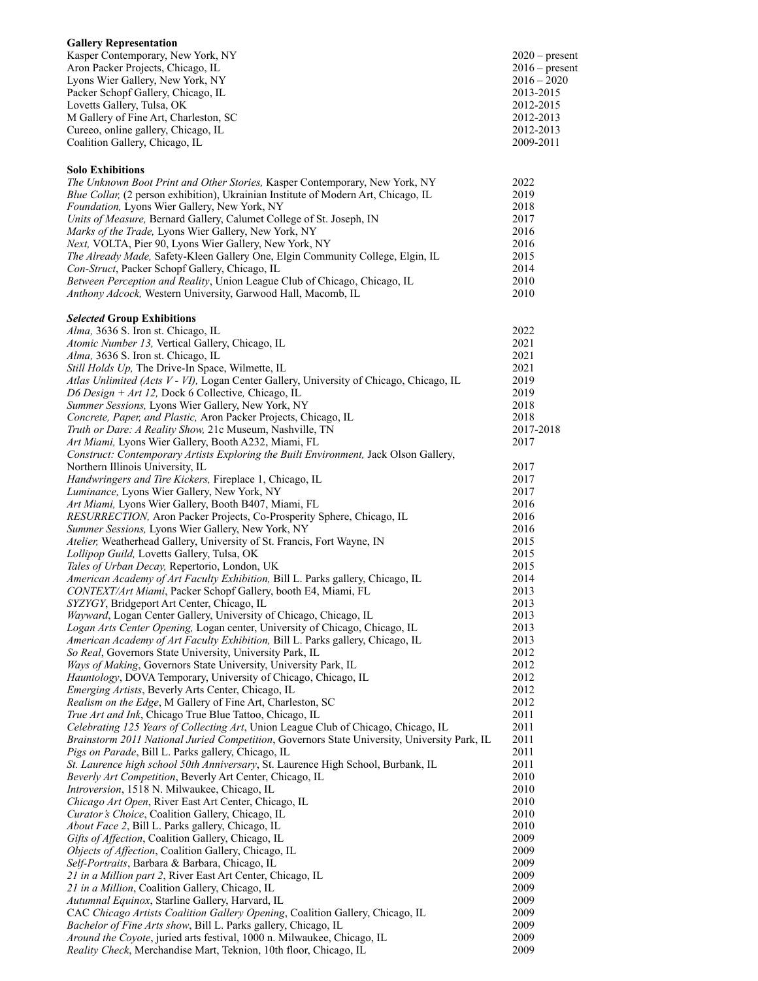| <b>Gallery Representation</b>         |                  |
|---------------------------------------|------------------|
| Kasper Contemporary, New York, NY     | $2020$ – present |
| Aron Packer Projects, Chicago, IL     | $2016$ – present |
| Lyons Wier Gallery, New York, NY      | $2016 - 2020$    |
| Packer Schopf Gallery, Chicago, IL    | 2013-2015        |
| Lovetts Gallery, Tulsa, OK            | 2012-2015        |
| M Gallery of Fine Art, Charleston, SC | 2012-2013        |
| Cureeo, online gallery, Chicago, IL   | 2012-2013        |
| Coalition Gallery, Chicago, IL        | 2009-2011        |

**Solo Exhibitions** 

#### *The Unknown Boot Print and Other Stories,* Kasper Contemporary, New York, NY 2022 *Blue Collar,* (2 person exhibition), Ukrainian Institute of Modern Art, Chicago, IL 2019<br>*Foundation*. Lyons Wier Gallery, New York, NY 2018 *Foundation, Lyons Wier Gallery, New York, NY Units of Measure,* Bernard Gallery, Calumet College of St. Joseph, IN 2017 *Marks of the Trade,* Lyons Wier Gallery, New York, NY 2016 *Next, VOLTA, Pier 90, Lyons Wier Gallery, New York, NY* 2016 *The Already Made,* Safety-Kleen Gallery One, Elgin Community College, Elgin, IL 2015 *Con-Struct*, Packer Schopf Gallery, Chicago, IL 2014 *Between Perception and Reality*, Union League Club of Chicago, Chicago, IL 2010 *Anthony Adcock,* Western University, Garwood Hall, Macomb, IL 2010 *Selected* **Group Exhibitions**  *Alma,* 3636 S. Iron st. Chicago, IL 2022 *Atomic Number 13, Vertical Gallery, Chicago, IL* 2021 *Alma,* 3636 S. Iron st. Chicago, IL 2021 *Still Holds Up,* The Drive-In Space, Wilmette, IL 2021<br>*Atlas Unlimited (Acts V - VI)*. Logan Center Gallery. University of Chicago. Chicago. IL 2019 Atlas Unlimited (Acts V - VI), Logan Center Gallery, University of Chicago, Chicago, IL *D6 Design + Art 12,* Dock 6 Collective*,* Chicago, IL 2019 *Summer Sessions,* Lyons Wier Gallery, New York, NY 2018 *Concrete, Paper, and Plastic, Aron Packer Projects, Chicago, IL* 2018 *Truth or Dare: A Reality Show, 21c Museum, Nashville, TN* 2017-2018 *Art Miami, Lyons Wier Gallery, Booth A232, Miami, FL* 2017 *Construct: Contemporary Artists Exploring the Built Environment, Jack Olson Gallery,* Northern Illinois University, IL 2017 *Handwringers and Tire Kickers, Fireplace 1, Chicago, IL* 2017 *Luminance,* Lyons Wier Gallery, New York, NY 2017 *Art Miami, Lyons Wier Gallery, Booth B407, Miami, FL* 2016 *RESURRECTION,* Aron Packer Projects, Co-Prosperity Sphere, Chicago, IL 2016 *Summer Sessions,* Lyons Wier Gallery, New York, NY 2016 *Atelier,* Weatherhead Gallery, University of St. Francis, Fort Wayne, IN 2015 *Lollipop Guild,* Lovetts Gallery, Tulsa, OK 2015 *Tales of Urban Decay,* Repertorio, London, UK 2015 *American Academy of Art Faculty Exhibition,* Bill L. Parks gallery, Chicago, IL 2014 *CONTEXT/Art Miami*, Packer Schopf Gallery, booth E4, Miami, FL 2013 *SYZYGY*, Bridgeport Art Center, Chicago, IL 2013 *Wayward*, Logan Center Gallery, University of Chicago, Chicago, IL 2013 *Logan Arts Center Opening,* Logan center, University of Chicago, Chicago, IL 2013 *American Academy of Art Faculty Exhibition,* Bill L. Parks gallery, Chicago, IL 2013 *So Real*, Governors State University, University Park, IL 2012 *Ways of Making*, Governors State University, University Park, IL 2012 *Hauntology*, DOVA Temporary, University of Chicago, Chicago, IL 2012 *Emerging Artists*, Beverly Arts Center, Chicago, IL 2012 *Realism on the Edge*, M Gallery of Fine Art, Charleston, SC 2012 *True Art and Ink*, Chicago True Blue Tattoo, Chicago, IL 2011 *Celebrating 125 Years of Collecting Art*, Union League Club of Chicago, Chicago, IL 2011 *Brainstorm 2011 National Juried Competition*, Governors State University, University Park, IL 2011 *Pigs on Parade*, Bill L. Parks gallery, Chicago, IL 2011 *St. Laurence high school 50th Anniversary*, St. Laurence High School, Burbank, IL 2011 *Beverly Art Competition*, Beverly Art Center, Chicago, IL 2010<br> *Introversion* 1518 N. Milwaukee, Chicago, IL 2010 *Introversion*, 1518 N. Milwaukee, Chicago, IL *Chicago Art Open*, River East Art Center, Chicago, IL 2010 *Curator's Choice*, Coalition Gallery, Chicago, IL 2010 *About Face 2*, Bill L. Parks gallery, Chicago, IL 2010 *Gifts of Affection*, Coalition Gallery, Chicago, IL 2009<br> *Objects of Affection*. Coalition Gallery. Chicago. IL 2009 *Objects of Affection*, Coalition Gallery, Chicago, IL *Self-Portraits*, Barbara & Barbara, Chicago, IL 2009 *21 in a Million part 2*, River East Art Center, Chicago, IL 2009 *21 in a Million*, Coalition Gallery, Chicago, IL 2009

*Autumnal Equinox*, Starline Gallery, Harvard, IL 2009 CAC *Chicago Artists Coalition Gallery Opening*, Coalition Gallery, Chicago, IL 2009 *Bachelor of Fine Arts show*, Bill L. Parks gallery, Chicago, IL 2009 *Around the Coyote*, juried arts festival, 1000 n. Milwaukee, Chicago, IL 2009 *Reality Check*, Merchandise Mart, Teknion, 10th floor, Chicago, IL 2009